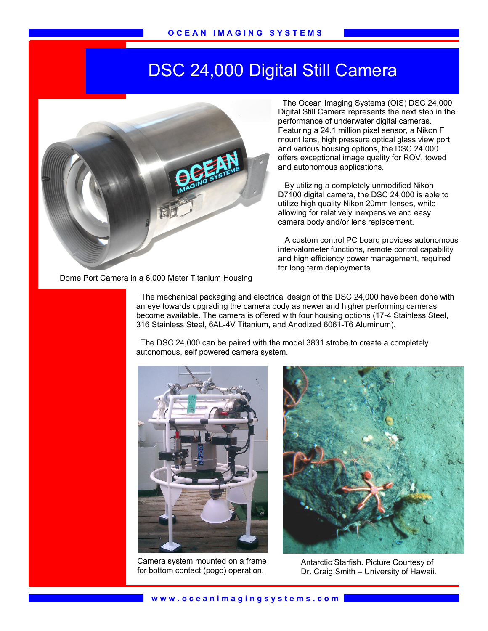## DSC 24,000 Digital Still Camera



 The Ocean Imaging Systems (OIS) DSC 24,000 Digital Still Camera represents the next step in the performance of underwater digital cameras. Featuring a 24.1 million pixel sensor, a Nikon F mount lens, high pressure optical glass view port and various housing options, the DSC 24,000 offers exceptional image quality for ROV, towed and autonomous applications.

 By utilizing a completely unmodified Nikon D7100 digital camera, the DSC 24,000 is able to utilize high quality Nikon 20mm lenses, while allowing for relatively inexpensive and easy camera body and/or lens replacement.

 A custom control PC board provides autonomous intervalometer functions, remote control capability and high efficiency power management, required for long term deployments.

Dome Port Camera in a 6,000 Meter Titanium Housing

 The mechanical packaging and electrical design of the DSC 24,000 have been done with an eye towards upgrading the camera body as newer and higher performing cameras become available. The camera is offered with four housing options (17-4 Stainless Steel, 316 Stainless Steel, 6AL-4V Titanium, and Anodized 6061-T6 Aluminum).

 The DSC 24,000 can be paired with the model 3831 strobe to create a completely autonomous, self powered camera system.



Camera system mounted on a frame for bottom contact (pogo) operation.

Ī



Antarctic Starfish. Picture Courtesy of Dr. Craig Smith – University of Hawaii.